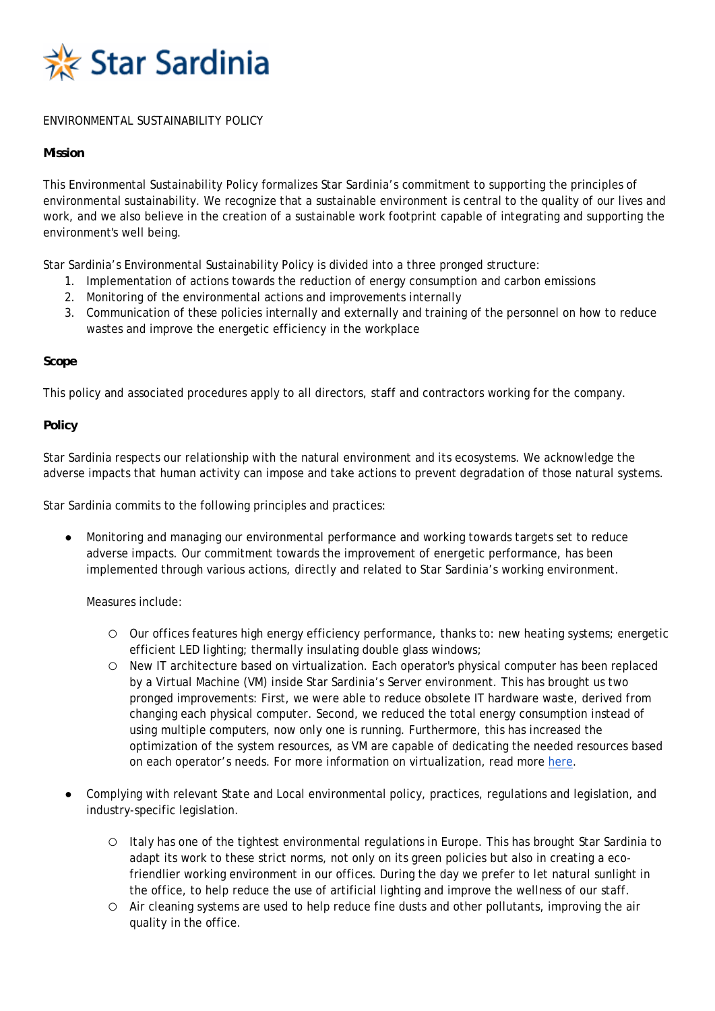

# ENVIRONMENTAL SUSTAINABILITY POLICY

### **Mission**

This Environmental Sustainability Policy formalizes Star Sardinia's commitment to supporting the principles of environmental sustainability. We recognize that a sustainable environment is central to the quality of our lives and work, and we also believe in the creation of a sustainable work footprint capable of integrating and supporting the environment's well being.

Star Sardinia's Environmental Sustainability Policy is divided into a three pronged structure:

- 1. Implementation of actions towards the reduction of energy consumption and carbon emissions
- 2. Monitoring of the environmental actions and improvements internally
- 3. Communication of these policies internally and externally and training of the personnel on how to reduce wastes and improve the energetic efficiency in the workplace

### **Scope**

This policy and associated procedures apply to all directors, staff and contractors working for the company.

# **Policy**

Star Sardinia respects our relationship with the natural environment and its ecosystems. We acknowledge the adverse impacts that human activity can impose and take actions to prevent degradation of those natural systems.

Star Sardinia commits to the following principles and practices:

Monitoring and managing our environmental performance and working towards targets set to reduce adverse impacts. Our commitment towards the improvement of energetic performance, has been implemented through various actions, directly and related to Star Sardinia's working environment.

Measures include:

- Our offices features high energy efficiency performance, thanks to: new heating systems; energetic efficient LED lighting; thermally insulating double glass windows;
- New IT architecture based on virtualization. Each operator's physical computer has been replaced by a Virtual Machine (VM) inside Star Sardinia's Server environment. This has brought us two pronged improvements: First, we were able to reduce obsolete IT hardware waste, derived from changing each physical computer. Second, we reduced the total energy consumption instead of using multiple computers, now only one is running. Furthermore, this has increased the optimization of the system resources, as VM are capable of dedicating the needed resources based on each operator's needs. For more information on virtualization, read more here.
- Complying with relevant State and Local environmental policy, practices, regulations and legislation, and industry-specific legislation.
	- Italy has one of the tightest environmental regulations in Europe. This has brought Star Sardinia to adapt its work to these strict norms, not only on its green policies but also in creating a ecofriendlier working environment in our offices. During the day we prefer to let natural sunlight in the office, to help reduce the use of artificial lighting and improve the wellness of our staff.
	- Air cleaning systems are used to help reduce fine dusts and other pollutants, improving the air quality in the office.